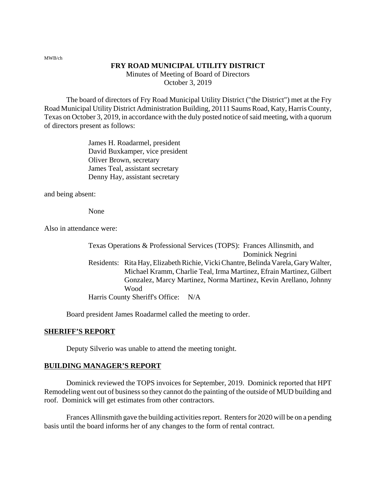MWB/ch

# **FRY ROAD MUNICIPAL UTILITY DISTRICT** Minutes of Meeting of Board of Directors October 3, 2019

The board of directors of Fry Road Municipal Utility District ("the District") met at the Fry Road Municipal Utility District Administration Building, 20111 Saums Road, Katy, Harris County, Texas on October 3, 2019, in accordance with the duly posted notice of said meeting, with a quorum of directors present as follows:

> James H. Roadarmel, president David Buxkamper, vice president Oliver Brown, secretary James Teal, assistant secretary Denny Hay, assistant secretary

and being absent:

None

Also in attendance were:

Texas Operations & Professional Services (TOPS): Frances Allinsmith, and Dominick Negrini Residents: Rita Hay, Elizabeth Richie, Vicki Chantre, Belinda Varela, Gary Walter, Michael Kramm, Charlie Teal, Irma Martinez, Efrain Martinez, Gilbert Gonzalez, Marcy Martinez, Norma Martinez, Kevin Arellano, Johnny Wood Harris County Sheriff's Office: N/A

Board president James Roadarmel called the meeting to order.

### **SHERIFF'S REPORT**

Deputy Silverio was unable to attend the meeting tonight.

### **BUILDING MANAGER'S REPORT**

Dominick reviewed the TOPS invoices for September, 2019. Dominick reported that HPT Remodeling went out of business so they cannot do the painting of the outside of MUD building and roof. Dominick will get estimates from other contractors.

Frances Allinsmith gave the building activities report. Renters for 2020 will be on a pending basis until the board informs her of any changes to the form of rental contract.